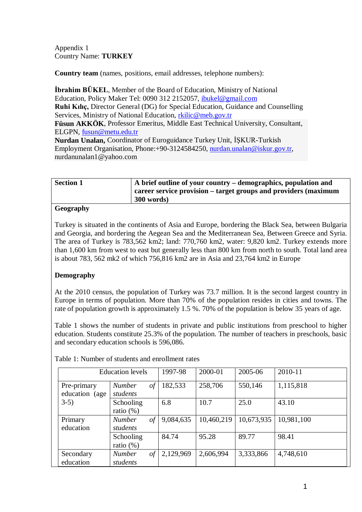Appendix 1 Country Name: **TURKEY**

**Country team** (names, positions, email addresses, telephone numbers):

**İbrahim BÜKEL**, Member of the Board of Education, Ministry of National Education, Policy Maker Tel: 0090 312 2152057, [ibukel@gmail.com](mailto:ibukel@gmail.com) **Ruhi Kılıç,** Director General (DG) for Special Education, Guidance and Counselling Services, Ministry of National Education, [rkilic@meb.gov.tr](mailto:rkilic@meb.gov.tr) **Füsun AKKÖK**, Professor Emeritus, Middle East Technical University, Consultant, ELGPN, [fusun@metu.edu.tr](mailto:fusun@metu.edu.tr) **Nurdan Unalan,** Coordinator of Euroguidance Turkey Unit, İŞKUR-Turkish Employment Organisation, Phone:+90-3124584250, [nurdan.unalan@iskur.gov.tr,](mailto:nurdan.unalan@iskur.gov.tr)

nurdanunalan1@yahoo.com

| <b>Section 1</b> | A brief outline of your country – demographics, population and<br>career service provision – target groups and providers (maximum |
|------------------|-----------------------------------------------------------------------------------------------------------------------------------|
|                  | 300 words)                                                                                                                        |

### **Geography**

Turkey is situated in the continents of Asia and Europe, bordering the Black Sea, between Bulgaria and Georgia, and bordering the Aegean Sea and the Mediterranean Sea, Between Greece and Syria. The area of Turkey is 783,562 km2; land: 770,760 km2, water: 9,820 km2. Turkey extends more than 1,600 km from west to east but generally less than 800 km from north to south. Total land area is about 783, 562 mk2 of which 756,816 km2 are in Asia and 23,764 km2 in Europe

## **Demography**

At the 2010 census, the population of Turkey was 73.7 million. It is the second largest country in Europe in terms of population. More than 70% of the population resides in cities and towns. The rate of population growth is approximately 1.5 %. 70% of the population is below 35 years of age.

Table 1 shows the number of students in private and public institutions from preschool to higher education. Students constitute 25.3% of the population. The number of teachers in preschools, basic and secondary education schools is 596,086.

|                               | <b>Education</b> levels         | 1997-98   | 2000-01    | 2005-06    | 2010-11    |
|-------------------------------|---------------------------------|-----------|------------|------------|------------|
| Pre-primary<br>education (age | <b>Number</b><br>of<br>students | 182,533   | 258,706    | 550,146    | 1,115,818  |
| $3-5)$                        | Schooling<br>ratio $(\%)$       | 6.8       | 10.7       | 25.0       | 43.10      |
| Primary<br>education          | <b>Number</b><br>of<br>students | 9,084,635 | 10,460,219 | 10,673,935 | 10,981,100 |
|                               | Schooling<br>ratio $(\%)$       | 84.74     | 95.28      | 89.77      | 98.41      |
| Secondary<br>education        | of<br><b>Number</b><br>students | 2,129,969 | 2,606,994  | 3,333,866  | 4,748,610  |

Table 1: Number of students and enrollment rates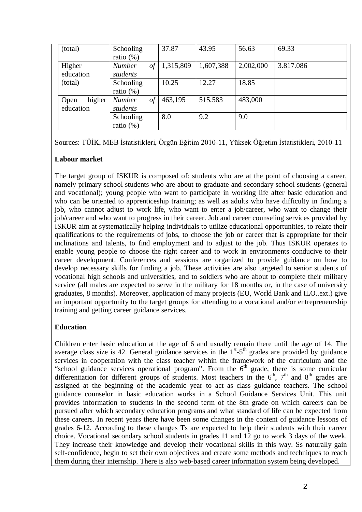| (total)        | Schooling                | 37.87     | 43.95     | 56.63     | 69.33     |
|----------------|--------------------------|-----------|-----------|-----------|-----------|
|                | ratio $(\%)$             |           |           |           |           |
| Higher         | $\iota$<br><b>Number</b> | 1,315,809 | 1,607,388 | 2,002,000 | 3.817.086 |
| education      | students                 |           |           |           |           |
| (total)        | Schooling                | 10.25     | 12.27     | 18.85     |           |
|                | ratio $(\%)$             |           |           |           |           |
| higher<br>Open | of<br><b>Number</b>      | 463,195   | 515,583   | 483,000   |           |
| education      | students                 |           |           |           |           |
|                | Schooling                | 8.0       | 9.2       | 9.0       |           |
|                | ratio $(\%)$             |           |           |           |           |

Sources: TÜİK, MEB İstatistikleri, Örgün Eğitim 2010-11, Yüksek Öğretim İstatistikleri, 2010-11

## **Labour market**

The target group of ISKUR is composed of: students who are at the point of choosing a career, namely primary school students who are about to graduate and secondary school students (general and vocational); young people who want to participate in working life after basic education and who can be oriented to apprenticeship training; as well as adults who have difficulty in finding a job, who cannot adjust to work life, who want to enter a job/career, who want to change their job/career and who want to progress in their career. Job and career counseling services provided by ISKUR aim at systematically helping individuals to utilize educational opportunities, to relate their qualifications to the requirements of jobs, to choose the job or career that is appropriate for their inclinations and talents, to find employment and to adjust to the job. Thus ISKUR operates to enable young people to choose the right career and to work in environments conducive to their career development. Conferences and sessions are organized to provide guidance on how to develop necessary skills for finding a job. These activities are also targeted to senior students of vocational high schools and universities, and to soldiers who are about to complete their military service (all males are expected to serve in the military for 18 months or, in the case of university graduates, 8 months). Moreover, application of many projects (EU, World Bank and ILO..ext.) give an important opportunity to the target groups for attending to a vocational and/or entrepreneurship training and getting career guidance services.

## **Education**

Children enter basic education at the age of 6 and usually remain there until the age of 14. The average class size is 42. General guidance services in the  $1<sup>st</sup> - 5<sup>th</sup>$  grades are provided by guidance services in cooperation with the class teacher within the framework of the curriculum and the "school guidance services operational program". From the  $6<sup>th</sup>$  grade, there is some curricular differentiation for different groups of students. Most teachers in the  $6<sup>th</sup>$ ,  $7<sup>th</sup>$  and  $8<sup>th</sup>$  grades are assigned at the beginning of the academic year to act as class guidance teachers. The school guidance counselor in basic education works in a School Guidance Services Unit. This unit provides information to students in the second term of the 8th grade on which careers can be pursued after which secondary education programs and what standard of life can be expected from these careers. In recent years there have been some changes in the content of guidance lessons of grades 6-12. According to these changes Ts are expected to help their students with their career choice. Vocational secondary school students in grades 11 and 12 go to work 3 days of the week. They increase their knowledge and develop their vocational skills in this way. Ss naturally gain self-confidence, begin to set their own objectives and create some methods and techniques to reach them during their internship. There is also web-based career information system being developed.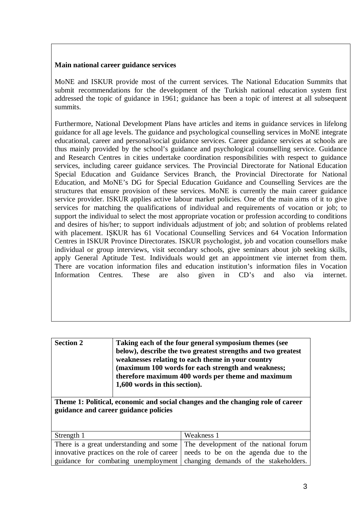#### **Main national career guidance services**

MoNE and ISKUR provide most of the current services. The National Education Summits that submit recommendations for the development of the Turkish national education system first addressed the topic of guidance in 1961; guidance has been a topic of interest at all subsequent summits.

Furthermore, National Development Plans have articles and items in guidance services in lifelong guidance for all age levels. The guidance and psychological counselling services in MoNE integrate educational, career and personal/social guidance services. Career guidance services at schools are thus mainly provided by the school's guidance and psychological counselling service. Guidance and Research Centres in cities undertake coordination responsibilities with respect to guidance services, including career guidance services. The Provincial Directorate for National Education Special Education and Guidance Services Branch, the Provincial Directorate for National Education, and MoNE's DG for Special Education Guidance and Counselling Services are the structures that ensure provision of these services. MoNE is currently the main career guidance service provider. ISKUR applies active labour market policies. One of the main aims of it to give services for matching the qualifications of individual and requirements of vocation or job; to support the individual to select the most appropriate vocation or profession according to conditions and desires of his/her; to support individuals adjustment of job; and solution of problems related with placement. IŞKUR has 61 Vocational Counselling Services and 64 Vocation Information Centres in ISKUR Province Directorates. ISKUR psychologist, job and vocation counsellors make individual or group interviews, visit secondary schools, give seminars about job seeking skills, apply General Aptitude Test. Individuals would get an appointment vie internet from them. There are vocation information files and education institution's information files in Vocation Information Centres. These are also given in CD's and also via internet.

| <b>Section 2</b> | Taking each of the four general symposium themes (see        |
|------------------|--------------------------------------------------------------|
|                  | below), describe the two greatest strengths and two greatest |
|                  | weaknesses relating to each theme in your country            |
|                  | (maximum 100 words for each strength and weakness;           |
|                  | therefore maximum 400 words per theme and maximum            |
|                  | 1,600 words in this section).                                |
|                  |                                                              |

**Theme 1: Political, economic and social changes and the changing role of career guidance and career guidance policies**

| Strength 1 | Weakness 1                                                                        |
|------------|-----------------------------------------------------------------------------------|
|            | There is a great understanding and some The development of the national forum     |
|            | innovative practices on the role of career   needs to be on the agenda due to the |
|            | guidance for combating unemployment changing demands of the stakeholders.         |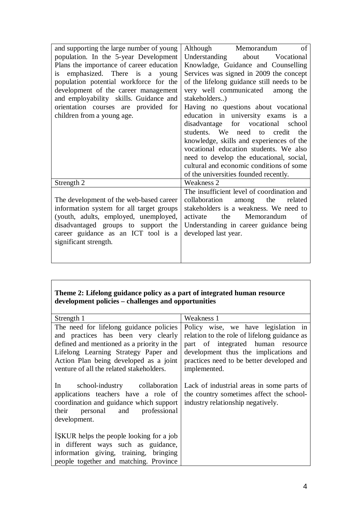| and supporting the large number of young | Although Memorandum<br>of                  |
|------------------------------------------|--------------------------------------------|
| population. In the 5-year Development    | Understanding about Vocational             |
| Plans the importance of career education | Knowladge, Guidance and Counselling        |
| is emphasized. There is a young          | Services was signed in 2009 the concept    |
| population potential workforce for the   | of the lifelong guidance still needs to be |
| development of the career management     | very well communicated among the           |
| and employability skills. Guidance and   | stakeholders)                              |
| orientation courses are provided for     | Having no questions about vocational       |
| children from a young age.               | education in university exams is a         |
|                                          | disadvantage for vocational school         |
|                                          | students. We need to credit<br>the         |
|                                          | knowledge, skills and experiences of the   |
|                                          | vocational education students. We also     |
|                                          | need to develop the educational, social,   |
|                                          | cultural and economic conditions of some   |
|                                          | of the universities founded recently.      |
| Strength 2                               | Weakness 2                                 |
|                                          | The insufficient level of coordination and |
| The development of the web-based career  | among the<br>collaboration<br>related      |
| information system for all target groups | stakeholders is a weakness. We need to     |
| (youth, adults, employed, unemployed,    | the Memorandum<br>activate<br>of           |
| disadvantaged groups to support the      | Understanding in career guidance being     |
| career guidance as an ICT tool is a      | developed last year.                       |
| significant strength.                    |                                            |
|                                          |                                            |
|                                          |                                            |

## **Theme 2: Lifelong guidance policy as a part of integrated human resource development policies – challenges and opportunities**

| Strength 1                                                                                                                                                                                                                                                 | Weakness 1                                                                                                                                                                                                                     |
|------------------------------------------------------------------------------------------------------------------------------------------------------------------------------------------------------------------------------------------------------------|--------------------------------------------------------------------------------------------------------------------------------------------------------------------------------------------------------------------------------|
| The need for lifelong guidance policies<br>and practices has been very clearly<br>defined and mentioned as a priority in the<br>Lifelong Learning Strategy Paper and<br>Action Plan being developed as a joint<br>venture of all the related stakeholders. | Policy wise, we have legislation in<br>relation to the role of lifelong guidance as<br>part of integrated human resource<br>development thus the implications and<br>practices need to be better developed and<br>implemented. |
| school-industry collaboration<br>$\ln$<br>applications teachers have a role of<br>coordination and guidance which support<br>personal and<br>professional<br>their<br>development.                                                                         | Lack of industrial areas in some parts of<br>the country sometimes affect the school-<br>industry relationship negatively.                                                                                                     |
| ISKUR helps the people looking for a job<br>in different ways such as guidance,<br>information giving, training, bringing<br>people together and matching. Province                                                                                        |                                                                                                                                                                                                                                |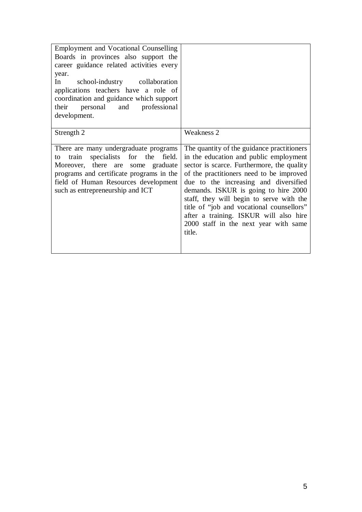| <b>Employment and Vocational Counselling</b><br>Boards in provinces also support the<br>career guidance related activities every<br>year.<br>In<br>school-industry collaboration<br>applications teachers have a role of<br>coordination and guidance which support<br>their<br>personal and professional<br>development. |                                                                                                                                                                                                                                                                                                                                                                                                                                                       |
|---------------------------------------------------------------------------------------------------------------------------------------------------------------------------------------------------------------------------------------------------------------------------------------------------------------------------|-------------------------------------------------------------------------------------------------------------------------------------------------------------------------------------------------------------------------------------------------------------------------------------------------------------------------------------------------------------------------------------------------------------------------------------------------------|
| Strength 2                                                                                                                                                                                                                                                                                                                | <b>Weakness 2</b>                                                                                                                                                                                                                                                                                                                                                                                                                                     |
| There are many undergraduate programs<br>specialists for the<br>train<br>field.<br>to<br>Moreover, there are some graduate<br>programs and certificate programs in the<br>field of Human Resources development<br>such as entrepreneurship and ICT                                                                        | The quantity of the guidance practitioners<br>in the education and public employment<br>sector is scarce. Furthermore, the quality<br>of the practitioners need to be improved<br>due to the increasing and diversified<br>demands. ISKUR is going to hire 2000<br>staff, they will begin to serve with the<br>title of "job and vocational counsellors"<br>after a training. ISKUR will also hire<br>2000 staff in the next year with same<br>title. |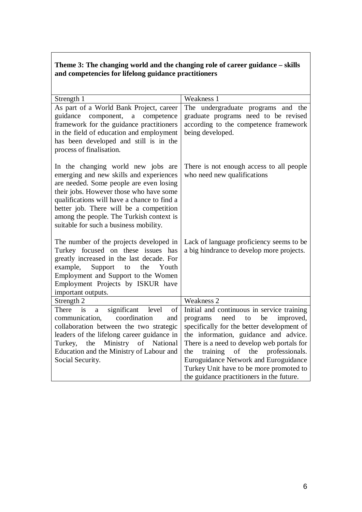# **Theme 3: The changing world and the changing role of career guidance – skills and competencies for lifelong guidance practitioners**

| Strength 1                                                                                                                                                                                                                                                                                                                                          | Weakness 1                                                                                                                                                                                                                                                                                                                                                                                             |
|-----------------------------------------------------------------------------------------------------------------------------------------------------------------------------------------------------------------------------------------------------------------------------------------------------------------------------------------------------|--------------------------------------------------------------------------------------------------------------------------------------------------------------------------------------------------------------------------------------------------------------------------------------------------------------------------------------------------------------------------------------------------------|
| As part of a World Bank Project, career<br>guidance<br>component,<br>competence<br>a<br>framework for the guidance practitioners<br>in the field of education and employment<br>has been developed and still is in the<br>process of finalisation.                                                                                                  | The undergraduate programs and the<br>graduate programs need to be revised<br>according to the competence framework<br>being developed.                                                                                                                                                                                                                                                                |
| In the changing world new jobs are<br>emerging and new skills and experiences<br>are needed. Some people are even losing<br>their jobs. However those who have some<br>qualifications will have a chance to find a<br>better job. There will be a competition<br>among the people. The Turkish context is<br>suitable for such a business mobility. | There is not enough access to all people<br>who need new qualifications                                                                                                                                                                                                                                                                                                                                |
| The number of the projects developed in<br>Turkey focused on these issues has<br>greatly increased in the last decade. For<br>Support<br>example,<br>to<br>the<br>Youth<br>Employment and Support to the Women<br>Employment Projects by ISKUR have<br>important outputs.                                                                           | Lack of language proficiency seems to be<br>a big hindrance to develop more projects.                                                                                                                                                                                                                                                                                                                  |
| Strength 2                                                                                                                                                                                                                                                                                                                                          | Weakness 2                                                                                                                                                                                                                                                                                                                                                                                             |
| significant<br>level<br>There<br>is<br>of<br>$\mathbf{a}$<br>coordination<br>communication,<br>and<br>collaboration between the two strategic<br>leaders of the lifelong career guidance in<br>Ministry of National<br>Turkey,<br>the<br>Education and the Ministry of Labour and<br>Social Security.                                               | Initial and continuous in service training<br>programs<br>need<br>be<br>improved,<br>to<br>specifically for the better development of<br>the information, guidance and advice.<br>There is a need to develop web portals for<br>training of the professionals.<br>the<br>Euroguidance Network and Euroguidance<br>Turkey Unit have to be more promoted to<br>the guidance practitioners in the future. |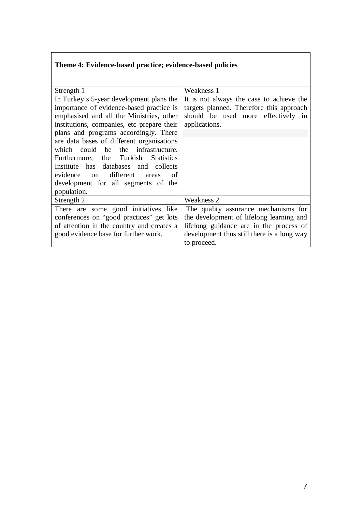# **Theme 4: Evidence-based practice; evidence-based policies**

| Strength 1                                    | Weakness 1                                 |
|-----------------------------------------------|--------------------------------------------|
| In Turkey's 5-year development plans the      | It is not always the case to achieve the   |
| importance of evidence-based practice is      | targets planned. Therefore this approach   |
| emphasised and all the Ministries, other      | should be used more effectively in         |
| institutions, companies, etc prepare their    | applications.                              |
| plans and programs accordingly. There         |                                            |
| are data bases of different organisations     |                                            |
| which could be the infrastructure.            |                                            |
| Furthermore, the Turkish<br><b>Statistics</b> |                                            |
| Institute has databases and collects          |                                            |
| evidence on different<br>of<br>areas          |                                            |
| development for all segments of the           |                                            |
| population.                                   |                                            |
| Strength 2                                    | Weakness 2                                 |
| There are some good initiatives like          | The quality assurance mechanisms for       |
| conferences on "good practices" get lots      | the development of lifelong learning and   |
| of attention in the country and creates a     | lifelong guidance are in the process of    |
| good evidence base for further work.          | development thus still there is a long way |
|                                               | to proceed.                                |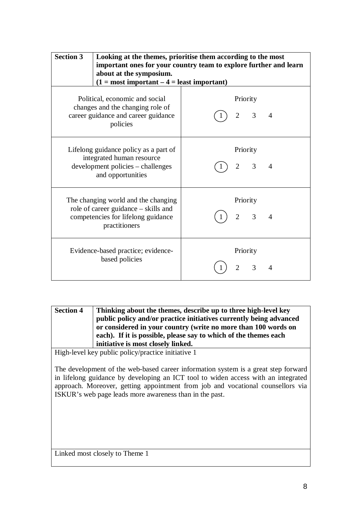| <b>Section 3</b> | Looking at the themes, prioritise them according to the most<br>important ones for your country team to explore further and learn<br>about at the symposium.<br>$(1 = most important – 4 = least important)$ |                                              |                |
|------------------|--------------------------------------------------------------------------------------------------------------------------------------------------------------------------------------------------------------|----------------------------------------------|----------------|
|                  | Political, economic and social<br>changes and the changing role of<br>career guidance and career guidance<br>policies                                                                                        | Priority<br>3<br>$\overline{2}$              | $\overline{4}$ |
|                  | Lifelong guidance policy as a part of<br>integrated human resource<br>development policies – challenges<br>and opportunities                                                                                 | Priority<br>3<br>$\overline{2}$              | $\overline{A}$ |
|                  | The changing world and the changing<br>role of career guidance – skills and<br>competencies for lifelong guidance<br>practitioners                                                                           | Priority<br>$\overline{3}$<br>$\overline{2}$ | $\overline{A}$ |
|                  | Evidence-based practice; evidence-<br>based policies                                                                                                                                                         | Priority<br>$\overline{2}$<br>3              | 4              |

| <b>Section 4</b> | Thinking about the themes, describe up to three high-level key     |
|------------------|--------------------------------------------------------------------|
|                  | public policy and/or practice initiatives currently being advanced |
|                  | or considered in your country (write no more than 100 words on     |
|                  | each). If it is possible, please say to which of the themes each   |
|                  | initiative is most closely linked.                                 |

High-level key public policy/practice initiative 1

The development of the web-based career information system is a great step forward in lifelong guidance by developing an ICT tool to widen access with an integrated approach. Moreover, getting appointment from job and vocational counsellors via ISKUR's web page leads more awareness than in the past.

Linked most closely to Theme 1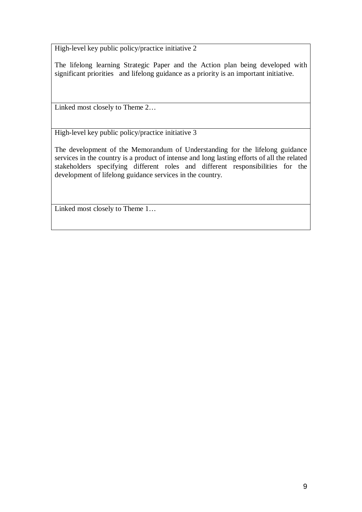High-level key public policy/practice initiative 2

The lifelong learning Strategic Paper and the Action plan being developed with significant priorities and lifelong guidance as a priority is an important initiative.

Linked most closely to Theme 2…

High-level key public policy/practice initiative 3

The development of the Memorandum of Understanding for the lifelong guidance services in the country is a product of intense and long lasting efforts of all the related stakeholders specifying different roles and different responsibilities for the development of lifelong guidance services in the country.

Linked most closely to Theme 1…